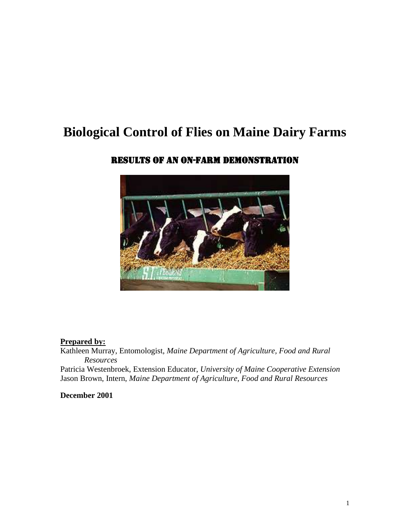# **Biological Control of Flies on Maine Dairy Farms**



### Results of an On-Farm Demonstration

#### **Prepared by:**

Kathleen Murray, Entomologist, *Maine Department of Agriculture, Food and Rural Resources*

Patricia Westenbroek, Extension Educator, *University of Maine Cooperative Extension* Jason Brown, Intern, *Maine Department of Agriculture, Food and Rural Resources*

**December 2001**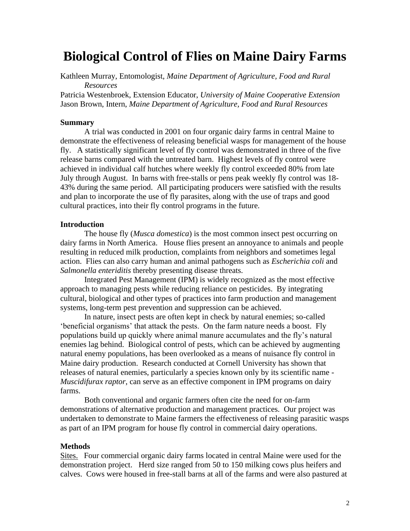## **Biological Control of Flies on Maine Dairy Farms**

Kathleen Murray, Entomologist, *Maine Department of Agriculture, Food and Rural Resources*

Patricia Westenbroek, Extension Educator, *University of Maine Cooperative Extension* Jason Brown, Intern, *Maine Department of Agriculture, Food and Rural Resources*

#### **Summary**

A trial was conducted in 2001 on four organic dairy farms in central Maine to demonstrate the effectiveness of releasing beneficial wasps for management of the house fly. A statistically significant level of fly control was demonstrated in three of the five release barns compared with the untreated barn. Highest levels of fly control were achieved in individual calf hutches where weekly fly control exceeded 80% from late July through August. In barns with free-stalls or pens peak weekly fly control was 18- 43% during the same period. All participating producers were satisfied with the results and plan to incorporate the use of fly parasites, along with the use of traps and good cultural practices, into their fly control programs in the future.

#### **Introduction**

The house fly (*Musca domestica*) is the most common insect pest occurring on dairy farms in North America. House flies present an annoyance to animals and people resulting in reduced milk production, complaints from neighbors and sometimes legal action. Flies can also carry human and animal pathogens such as *Escherichia coli* and *Salmonella enteriditis* thereby presenting disease threats.

Integrated Pest Management (IPM) is widely recognized as the most effective approach to managing pests while reducing reliance on pesticides. By integrating cultural, biological and other types of practices into farm production and management systems, long-term pest prevention and suppression can be achieved.

In nature, insect pests are often kept in check by natural enemies; so-called 'beneficial organisms' that attack the pests. On the farm nature needs a boost. Fly populations build up quickly where animal manure accumulates and the fly's natural enemies lag behind. Biological control of pests, which can be achieved by augmenting natural enemy populations, has been overlooked as a means of nuisance fly control in Maine dairy production. Research conducted at Cornell University has shown that releases of natural enemies, particularly a species known only by its scientific name - *Muscidifurax raptor*, can serve as an effective component in IPM programs on dairy farms.

Both conventional and organic farmers often cite the need for on-farm demonstrations of alternative production and management practices. Our project was undertaken to demonstrate to Maine farmers the effectiveness of releasing parasitic wasps as part of an IPM program for house fly control in commercial dairy operations.

#### **Methods**

Sites. Four commercial organic dairy farms located in central Maine were used for the demonstration project. Herd size ranged from 50 to 150 milking cows plus heifers and calves. Cows were housed in free-stall barns at all of the farms and were also pastured at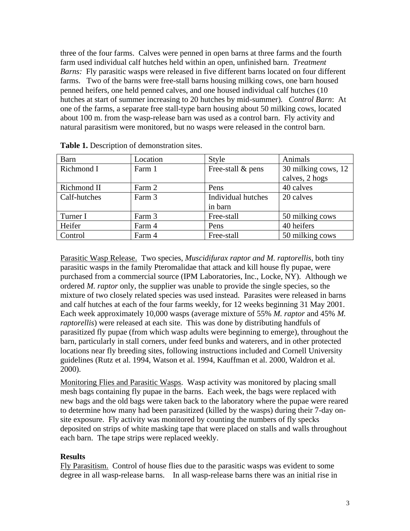three of the four farms. Calves were penned in open barns at three farms and the fourth farm used individual calf hutches held within an open, unfinished barn. *Treatment Barns:* Fly parasitic wasps were released in five different barns located on four different farms. Two of the barns were free-stall barns housing milking cows, one barn housed penned heifers, one held penned calves, and one housed individual calf hutches (10 hutches at start of summer increasing to 20 hutches by mid-summer). *Control Barn*: At one of the farms, a separate free stall-type barn housing about 50 milking cows, located about 100 m. from the wasp-release barn was used as a control barn. Fly activity and natural parasitism were monitored, but no wasps were released in the control barn.

| <b>Barn</b>  | Location | <b>Style</b>       | Animals             |
|--------------|----------|--------------------|---------------------|
| Richmond I   | Farm 1   | Free-stall & pens  | 30 milking cows, 12 |
|              |          |                    | calves, 2 hogs      |
| Richmond II  | Farm 2   | Pens               | 40 calves           |
| Calf-hutches | Farm 3   | Individual hutches | 20 calves           |
|              |          | in barn            |                     |
| Turner I     | Farm 3   | Free-stall         | 50 milking cows     |
| Heifer       | Farm 4   | Pens               | 40 heifers          |
| Control      | Farm 4   | Free-stall         | 50 milking cows     |

| Table 1. Description of demonstration sites. |  |  |
|----------------------------------------------|--|--|
|----------------------------------------------|--|--|

Parasitic Wasp Release. Two species, *Muscidifurax raptor and M. raptorellis*, both tiny parasitic wasps in the family Pteromalidae that attack and kill house fly pupae, were purchased from a commercial source (IPM Laboratories, Inc., Locke, NY). Although we ordered *M. raptor* only, the supplier was unable to provide the single species, so the mixture of two closely related species was used instead. Parasites were released in barns and calf hutches at each of the four farms weekly, for 12 weeks beginning 31 May 2001. Each week approximately 10,000 wasps (average mixture of 55% *M. raptor* and 45% *M. raptorellis*) were released at each site. This was done by distributing handfuls of parasitized fly pupae (from which wasp adults were beginning to emerge), throughout the barn, particularly in stall corners, under feed bunks and waterers, and in other protected locations near fly breeding sites, following instructions included and Cornell University guidelines (Rutz et al. 1994, Watson et al. 1994, Kauffman et al. 2000, Waldron et al. 2000).

Monitoring Flies and Parasitic Wasps. Wasp activity was monitored by placing small mesh bags containing fly pupae in the barns. Each week, the bags were replaced with new bags and the old bags were taken back to the laboratory where the pupae were reared to determine how many had been parasitized (killed by the wasps) during their 7-day onsite exposure. Fly activity was monitored by counting the numbers of fly specks deposited on strips of white masking tape that were placed on stalls and walls throughout each barn. The tape strips were replaced weekly.

#### **Results**

Fly Parasitism. Control of house flies due to the parasitic wasps was evident to some degree in all wasp-release barns. In all wasp-release barns there was an initial rise in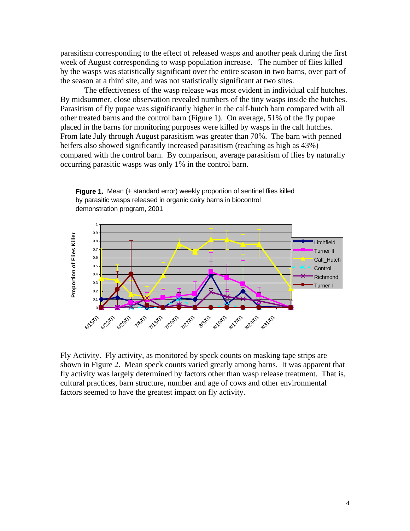parasitism corresponding to the effect of released wasps and another peak during the first week of August corresponding to wasp population increase. The number of flies killed by the wasps was statistically significant over the entire season in two barns, over part of the season at a third site, and was not statistically significant at two sites.

The effectiveness of the wasp release was most evident in individual calf hutches. By midsummer, close observation revealed numbers of the tiny wasps inside the hutches. Parasitism of fly pupae was significantly higher in the calf-hutch barn compared with all other treated barns and the control barn (Figure 1). On average, 51% of the fly pupae placed in the barns for monitoring purposes were killed by wasps in the calf hutches. From late July through August parasitism was greater than 70%. The barn with penned heifers also showed significantly increased parasitism (reaching as high as 43%) compared with the control barn. By comparison, average parasitism of flies by naturally occurring parasitic wasps was only 1% in the control barn.



**Figure 1.** Mean (+ standard error) weekly proportion of sentinel flies killed by parasitic wasps released in organic dairy barns in biocontrol demonstration program, 2001

Fly Activity. Fly activity, as monitored by speck counts on masking tape strips are shown in Figure 2. Mean speck counts varied greatly among barns. It was apparent that fly activity was largely determined by factors other than wasp release treatment. That is, cultural practices, barn structure, number and age of cows and other environmental factors seemed to have the greatest impact on fly activity.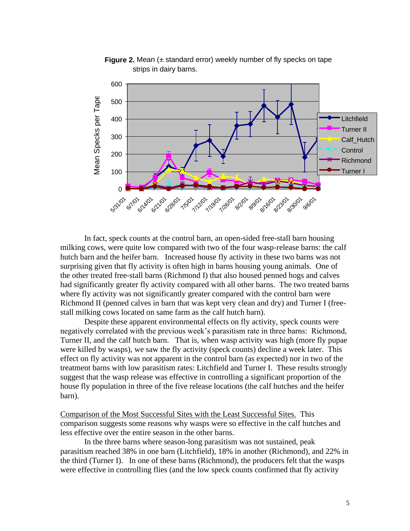

**Figure 2.** Mean ( $\pm$  standard error) weekly number of fly specks on tape strips in dairy barns.

In fact, speck counts at the control barn, an open-sided free-stall barn housing milking cows, were quite low compared with two of the four wasp-release barns: the calf hutch barn and the heifer barn. Increased house fly activity in these two barns was not surprising given that fly activity is often high in barns housing young animals. One of the other treated free-stall barns (Richmond I) that also housed penned hogs and calves had significantly greater fly activity compared with all other barns. The two treated barns where fly activity was not significantly greater compared with the control barn were Richmond II (penned calves in barn that was kept very clean and dry) and Turner I (freestall milking cows located on same farm as the calf hutch barn).

Despite these apparent environmental effects on fly activity, speck counts were negatively correlated with the previous week's parasitism rate in three barns: Richmond, Turner II, and the calf hutch barn. That is, when wasp activity was high (more fly pupae were killed by wasps), we saw the fly activity (speck counts) decline a week later. This effect on fly activity was not apparent in the control barn (as expected) nor in two of the treatment barns with low parasitism rates: Litchfield and Turner I. These results strongly suggest that the wasp release was effective in controlling a significant proportion of the house fly population in three of the five release locations (the calf hutches and the heifer barn).

Comparison of the Most Successful Sites with the Least Successful Sites. This comparison suggests some reasons why wasps were so effective in the calf hutches and less effective over the entire season in the other barns.

In the three barns where season-long parasitism was not sustained, peak parasitism reached 38% in one barn (Litchfield), 18% in another (Richmond), and 22% in the third (Turner I). In one of these barns (Richmond), the producers felt that the wasps were effective in controlling flies (and the low speck counts confirmed that fly activity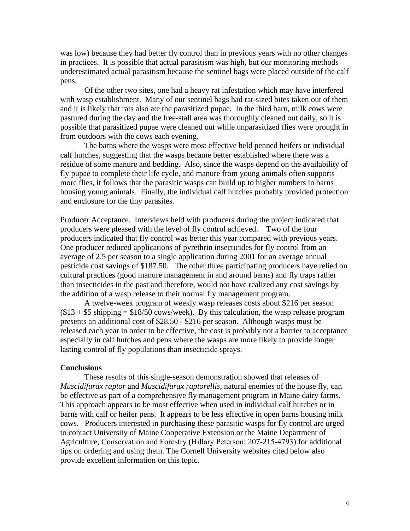was low) because they had better fly control than in previous years with no other changes in practices. It is possible that actual parasitism was high, but our monitoring methods underestimated actual parasitism because the sentinel bags were placed outside of the calf pens.

Of the other two sites, one had a heavy rat infestation which may have interfered with wasp establishment. Many of our sentinel bags had rat-sized bites taken out of them and it is likely that rats also ate the parasitized pupae. In the third barn, milk cows were pastured during the day and the free-stall area was thoroughly cleaned out daily, so it is possible that parasitized pupae were cleaned out while unparasitized flies were brought in from outdoors with the cows each evening.

The barns where the wasps were most effective held penned heifers or individual calf hutches, suggesting that the wasps became better established where there was a residue of some manure and bedding. Also, since the wasps depend on the availability of fly pupae to complete their life cycle, and manure from young animals often supports more flies, it follows that the parasitic wasps can build up to higher numbers in barns housing young animals. Finally, the individual calf hutches probably provided protection and enclosure for the tiny parasites.

Producer Acceptance. Interviews held with producers during the project indicated that producers were pleased with the level of fly control achieved. Two of the four producers indicated that fly control was better this year compared with previous years. One producer reduced applications of pyrethrin insecticides for fly control from an average of 2.5 per season to a single application during 2001 for an average annual pesticide cost savings of \$187.50. The other three participating producers have relied on cultural practices (good manure management in and around barns) and fly traps rather than insecticides in the past and therefore, would not have realized any cost savings by the addition of a wasp release to their normal fly management program.

A twelve-week program of weekly wasp releases costs about \$216 per season  $($13 + $5 \text{ shipping} = $18/50 \text{ cows/week})$ . By this calculation, the wasp release program presents an additional cost of \$28.50 - \$216 per season. Although wasps must be released each year in order to be effective, the cost is probably not a barrier to acceptance especially in calf hutches and pens where the wasps are more likely to provide longer lasting control of fly populations than insecticide sprays.

#### **Conclusions**

These results of this single-season demonstration showed that releases of *Muscidifurax raptor* and *Muscidifurax raptorellis*, natural enemies of the house fly, can be effective as part of a comprehensive fly management program in Maine dairy farms. This approach appears to be most effective when used in individual calf hutches or in barns with calf or heifer pens. It appears to be less effective in open barns housing milk cows. Producers interested in purchasing these parasitic wasps for fly control are urged to contact University of Maine Cooperative Extension or the Maine Department of Agriculture, Conservation and Forestry (Hillary Peterson: 207-215-4793) for additional tips on ordering and using them. The Cornell University websites cited below also provide excellent information on this topic.